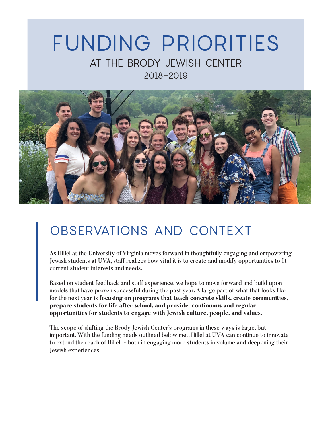# FUNDING PRIORITIES AT THE BRODY JEWISH CENTER 2018-2019



## OBSERVATIONS AND CONTEXT

As Hillel at the University of Virginia moves forward in thoughtfully engaging and empowering Jewish students at UVA, staff realizes how vital it is to create and modify opportunities to fit current student interests and needs.

Based on student feedback and staff experience, we hope to move forward and build upon models that have proven successful during the past year. A large part of what that looks like for the next year is **focusing on programs that teach concrete skills, create communities, prepare students for life after school, and provide continuous and regular opportunities for students to engage with Jewish culture, people, and values.** 

The scope of shifting the Brody Jewish Center's programs in these ways is large, but important. With the funding needs outlined below met, Hillel at UVA can continue to innovate to extend the reach of Hillel - both in engaging more students in volume and deepening their Jewish experiences.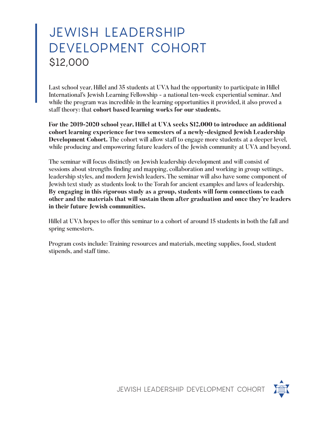#### JEWISH LEADERSHIP DEVELOPMENT COHORT \$12,000

Last school year, Hillel and 35 students at UVA had the opportunity to participate in Hillel International's Jewish Learning Fellowship - a national ten-week experiential seminar. And while the program was incredible in the learning opportunities it provided, it also proved a staff theory: that **cohort based learning works for our students.**

**For the 2019-2020 school year, Hillel at UVA seeks \$12,000 to introduce an additional cohort learning experience for two semesters of a newly-designed Jewish Leadership Development Cohort.** The cohort will allow staff to engage more students at a deeper level, while producing and empowering future leaders of the Jewish community at UVA and beyond.

The seminar will focus distinctly on Jewish leadership development and will consist of sessions about strengths finding and mapping, collaboration and working in group settings, leadership styles, and modern Jewish leaders. The seminar will also have some component of Jewish text study as students look to the Torah for ancient examples and laws of leadership. **By engaging in this rigorous study as a group, students will form connections to each other and the materials that will sustain them after graduation and once they're leaders in their future Jewish communities.**

Hillel at UVA hopes to offer this seminar to a cohort of around 15 students in both the fall and spring semesters.

Program costs include: Training resources and materials, meeting supplies, food, student stipends, and staff time.

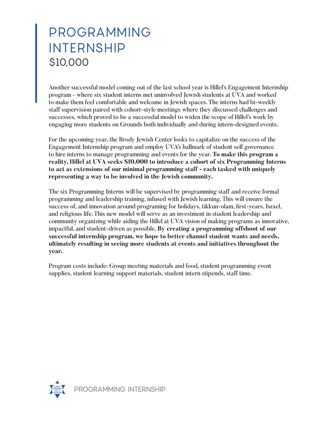#### PROGRAMMING INTERNSHIP \$10,000

Another successful model coming out of the last school year is Hillel's Engagement Internship program - where six student interns met uninvolved Jewish students at UVA and worked to make them feel comfortable and welcome in Jewish spaces. The interns had bi-weekly staff supervision paired with cohort-style meetings where they discussed challenges and successes, which proved to be a successful model to widen the scope of Hillel's work by engaging more students on Grounds both individually and during intern-designed events.

For the upcoming year, the Brody Jewish Center looks to capitalize on the success of the Engagement Internship program and employ UVA's hallmark of student self governance to hire interns to manage programming and events for the year. **To make this program a reality, Hillel at UVA seeks \$10,000 to introduce a cohort of six Programming Interns to act as extensions of our minimal programming staff - each tasked with uniquely representing a way to be involved in the Jewish community.** 

The six Programming Interns will be supervised by programming staff and receive formal programming and leadership training, infused with Jewish learning. This will ensure the success of, and innovation around programing for holidays, tikkun-olam, first-years, Israel, and religious life. This new model will serve as an investment in student leadership and community organizing while aiding the Hillel at UVA vision of making programs as innovative, impactful, and student-driven as possible. **By creating a programming offshoot of our successful internship program, we hope to better channel student wants and needs, ultimately resulting in seeing more students at events and initiatives throughout the year.** 

Program costs include: Group meeting materials and food, student programming event supplies, student learning support materials, student intern stipends, staff time.